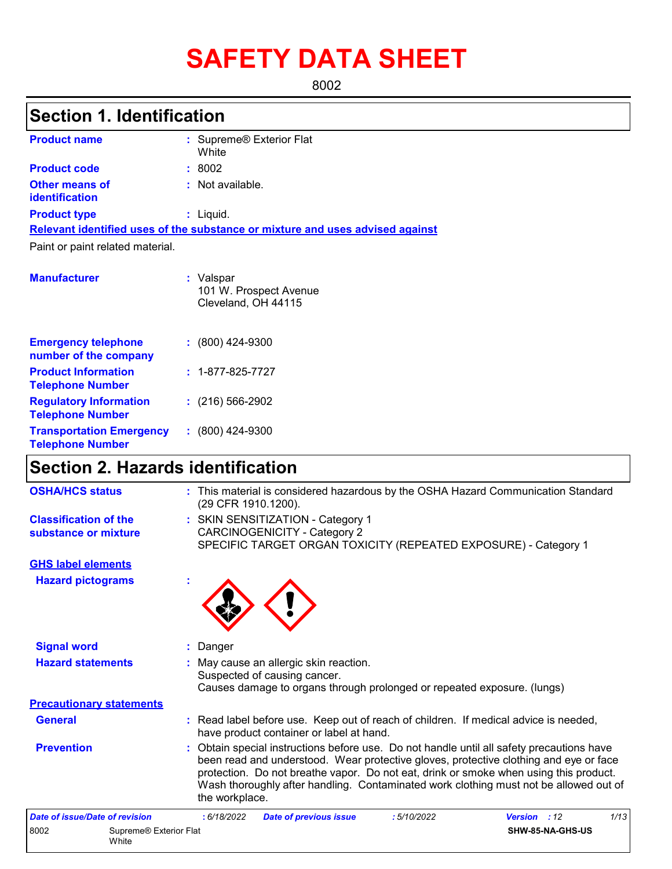# **SAFETY DATA SHEET**

8002

## **Section 1. Identification**

| <b>Product name</b>                            | : Supreme <sup>®</sup> Exterior Flat<br>White                                 |
|------------------------------------------------|-------------------------------------------------------------------------------|
| <b>Product code</b>                            | : 8002                                                                        |
| <b>Other means of</b><br><b>identification</b> | : Not available.                                                              |
| <b>Product type</b>                            | $:$ Liquid.                                                                   |
|                                                | Relevant identified uses of the substance or mixture and uses advised against |
| Paint or paint related material.               |                                                                               |

| <b>Manufacturer</b>                                        | : Valspar<br>101 W. Prospect Avenue<br>Cleveland, OH 44115 |
|------------------------------------------------------------|------------------------------------------------------------|
| <b>Emergency telephone</b><br>number of the company        | $: (800)$ 424-9300                                         |
| <b>Product Information</b><br><b>Telephone Number</b>      | $: 1 - 877 - 825 - 7727$                                   |
| <b>Regulatory Information</b><br><b>Telephone Number</b>   | $: (216) 566 - 2902$                                       |
| <b>Transportation Emergency</b><br><b>Telephone Number</b> | $: (800)$ 424-9300                                         |

## **Section 2. Hazards identification**

| <b>OSHA/HCS status</b>                               |                                 | : This material is considered hazardous by the OSHA Hazard Communication Standard<br>(29 CFR 1910.1200).                                                                                                                                                                                                                                                                               |
|------------------------------------------------------|---------------------------------|----------------------------------------------------------------------------------------------------------------------------------------------------------------------------------------------------------------------------------------------------------------------------------------------------------------------------------------------------------------------------------------|
| <b>Classification of the</b><br>substance or mixture |                                 | : SKIN SENSITIZATION - Category 1<br><b>CARCINOGENICITY - Category 2</b><br>SPECIFIC TARGET ORGAN TOXICITY (REPEATED EXPOSURE) - Category 1                                                                                                                                                                                                                                            |
| <b>GHS label elements</b>                            |                                 |                                                                                                                                                                                                                                                                                                                                                                                        |
| <b>Hazard pictograms</b>                             |                                 |                                                                                                                                                                                                                                                                                                                                                                                        |
| <b>Signal word</b>                                   |                                 | : Danger                                                                                                                                                                                                                                                                                                                                                                               |
| <b>Hazard statements</b>                             |                                 | : May cause an allergic skin reaction.<br>Suspected of causing cancer.<br>Causes damage to organs through prolonged or repeated exposure. (lungs)                                                                                                                                                                                                                                      |
| <b>Precautionary statements</b>                      |                                 |                                                                                                                                                                                                                                                                                                                                                                                        |
| <b>General</b>                                       |                                 | : Read label before use. Keep out of reach of children. If medical advice is needed,<br>have product container or label at hand.                                                                                                                                                                                                                                                       |
| <b>Prevention</b>                                    |                                 | : Obtain special instructions before use. Do not handle until all safety precautions have<br>been read and understood. Wear protective gloves, protective clothing and eye or face<br>protection. Do not breathe vapor. Do not eat, drink or smoke when using this product.<br>Wash thoroughly after handling. Contaminated work clothing must not be allowed out of<br>the workplace. |
| <b>Date of issue/Date of revision</b>                |                                 | 1/13<br>: 6/18/2022<br>:5/10/2022<br>Version : 12<br><b>Date of previous issue</b>                                                                                                                                                                                                                                                                                                     |
| 8002                                                 | Supreme® Exterior Flat<br>White | SHW-85-NA-GHS-US                                                                                                                                                                                                                                                                                                                                                                       |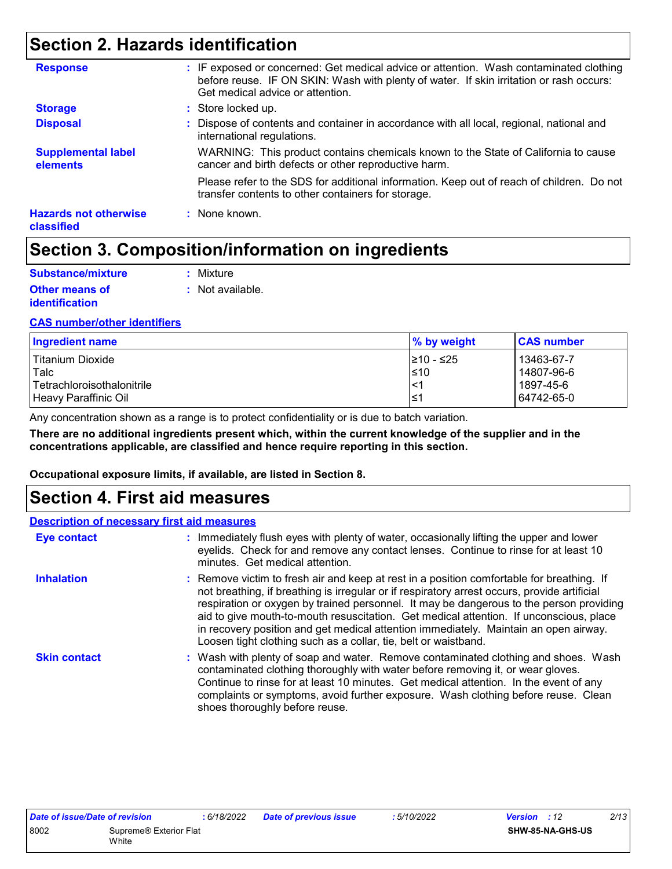## **Section 2. Hazards identification**

| <b>Hazards not otherwise</b>          | transfer contents to other containers for storage.<br>: None known.                                                                                                                                                   |
|---------------------------------------|-----------------------------------------------------------------------------------------------------------------------------------------------------------------------------------------------------------------------|
|                                       | Please refer to the SDS for additional information. Keep out of reach of children. Do not                                                                                                                             |
| <b>Supplemental label</b><br>elements | WARNING: This product contains chemicals known to the State of California to cause<br>cancer and birth defects or other reproductive harm.                                                                            |
| <b>Disposal</b>                       | : Dispose of contents and container in accordance with all local, regional, national and<br>international regulations.                                                                                                |
| <b>Storage</b>                        | : Store locked up.                                                                                                                                                                                                    |
| <b>Response</b>                       | : IF exposed or concerned: Get medical advice or attention. Wash contaminated clothing<br>before reuse. IF ON SKIN: Wash with plenty of water. If skin irritation or rash occurs:<br>Get medical advice or attention. |

## **Section 3. Composition/information on ingredients**

| Substance/mixture     | : Mixture        |
|-----------------------|------------------|
| <b>Other means of</b> | : Not available. |
| <i>identification</i> |                  |

#### **CAS number/other identifiers**

| Ingredient name                   | % by weight | <b>CAS number</b> |
|-----------------------------------|-------------|-------------------|
| <b>Titanium Dioxide</b>           | 210 - ≤25   | 13463-67-7        |
| Talc                              | $\leq 10$   | 14807-96-6        |
| <b>Tetrachloroisothalonitrile</b> | .<1         | 1897-45-6         |
| Heavy Paraffinic Oil              | l≤′         | 64742-65-0        |

Any concentration shown as a range is to protect confidentiality or is due to batch variation.

**There are no additional ingredients present which, within the current knowledge of the supplier and in the concentrations applicable, are classified and hence require reporting in this section.**

**Occupational exposure limits, if available, are listed in Section 8.**

## **Section 4. First aid measures**

| <b>Description of necessary first aid measures</b> |                                                                                                                                                                                                                                                                                                                                                                                                                                                                                                                                           |
|----------------------------------------------------|-------------------------------------------------------------------------------------------------------------------------------------------------------------------------------------------------------------------------------------------------------------------------------------------------------------------------------------------------------------------------------------------------------------------------------------------------------------------------------------------------------------------------------------------|
| <b>Eye contact</b>                                 | : Immediately flush eyes with plenty of water, occasionally lifting the upper and lower<br>eyelids. Check for and remove any contact lenses. Continue to rinse for at least 10<br>minutes. Get medical attention.                                                                                                                                                                                                                                                                                                                         |
| <b>Inhalation</b>                                  | : Remove victim to fresh air and keep at rest in a position comfortable for breathing. If<br>not breathing, if breathing is irregular or if respiratory arrest occurs, provide artificial<br>respiration or oxygen by trained personnel. It may be dangerous to the person providing<br>aid to give mouth-to-mouth resuscitation. Get medical attention. If unconscious, place<br>in recovery position and get medical attention immediately. Maintain an open airway.<br>Loosen tight clothing such as a collar, tie, belt or waistband. |
| <b>Skin contact</b>                                | : Wash with plenty of soap and water. Remove contaminated clothing and shoes. Wash<br>contaminated clothing thoroughly with water before removing it, or wear gloves.<br>Continue to rinse for at least 10 minutes. Get medical attention. In the event of any<br>complaints or symptoms, avoid further exposure. Wash clothing before reuse. Clean<br>shoes thoroughly before reuse.                                                                                                                                                     |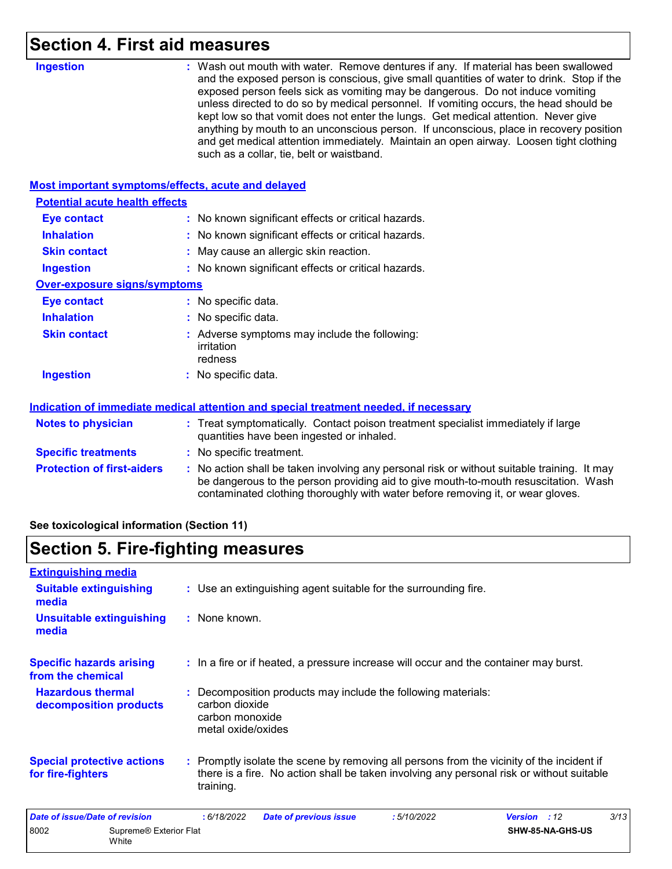## **Section 4. First aid measures**

| <b>Ingestion</b>                                          | : Wash out mouth with water. Remove dentures if any. If material has been swallowed<br>and the exposed person is conscious, give small quantities of water to drink. Stop if the<br>exposed person feels sick as vomiting may be dangerous. Do not induce vomiting<br>unless directed to do so by medical personnel. If vomiting occurs, the head should be<br>kept low so that vomit does not enter the lungs. Get medical attention. Never give<br>anything by mouth to an unconscious person. If unconscious, place in recovery position<br>and get medical attention immediately. Maintain an open airway. Loosen tight clothing<br>such as a collar, tie, belt or waistband. |
|-----------------------------------------------------------|-----------------------------------------------------------------------------------------------------------------------------------------------------------------------------------------------------------------------------------------------------------------------------------------------------------------------------------------------------------------------------------------------------------------------------------------------------------------------------------------------------------------------------------------------------------------------------------------------------------------------------------------------------------------------------------|
| <b>Most important symptoms/effects, acute and delayed</b> |                                                                                                                                                                                                                                                                                                                                                                                                                                                                                                                                                                                                                                                                                   |
| <b>Potential acute health effects</b>                     |                                                                                                                                                                                                                                                                                                                                                                                                                                                                                                                                                                                                                                                                                   |
| <b>Eye contact</b>                                        | : No known significant effects or critical hazards.                                                                                                                                                                                                                                                                                                                                                                                                                                                                                                                                                                                                                               |
| <b>Inhalation</b>                                         | : No known significant effects or critical hazards.                                                                                                                                                                                                                                                                                                                                                                                                                                                                                                                                                                                                                               |
| <b>Skin contact</b>                                       | : May cause an allergic skin reaction.                                                                                                                                                                                                                                                                                                                                                                                                                                                                                                                                                                                                                                            |
| <b>Ingestion</b>                                          | : No known significant effects or critical hazards.                                                                                                                                                                                                                                                                                                                                                                                                                                                                                                                                                                                                                               |
| <b>Over-exposure signs/symptoms</b>                       |                                                                                                                                                                                                                                                                                                                                                                                                                                                                                                                                                                                                                                                                                   |
| <b>Eye contact</b>                                        | : No specific data.                                                                                                                                                                                                                                                                                                                                                                                                                                                                                                                                                                                                                                                               |
| <b>Inhalation</b>                                         | : No specific data.                                                                                                                                                                                                                                                                                                                                                                                                                                                                                                                                                                                                                                                               |
| <b>Skin contact</b>                                       | : Adverse symptoms may include the following:<br>irritation<br>redness                                                                                                                                                                                                                                                                                                                                                                                                                                                                                                                                                                                                            |
| <b>Ingestion</b>                                          | : No specific data.                                                                                                                                                                                                                                                                                                                                                                                                                                                                                                                                                                                                                                                               |
|                                                           | Indication of immediate medical attention and special treatment needed, if necessary                                                                                                                                                                                                                                                                                                                                                                                                                                                                                                                                                                                              |
| <b>Notes to physician</b>                                 | : Treat symptomatically. Contact poison treatment specialist immediately if large<br>quantities have been ingested or inhaled.                                                                                                                                                                                                                                                                                                                                                                                                                                                                                                                                                    |
| <b>Specific treatments</b>                                | : No specific treatment.                                                                                                                                                                                                                                                                                                                                                                                                                                                                                                                                                                                                                                                          |
| <b>Protection of first-aiders</b>                         | : No action shall be taken involving any personal risk or without suitable training. It may<br>be dangerous to the person providing aid to give mouth-to-mouth resuscitation. Wash<br>contaminated clothing thoroughly with water before removing it, or wear gloves.                                                                                                                                                                                                                                                                                                                                                                                                             |

**See toxicological information (Section 11)**

## **Section 5. Fire-fighting measures**

| <b>Extinguishing media</b>                             |                                 |                                                         |                                                                                                                                                                                        |            |                  |      |
|--------------------------------------------------------|---------------------------------|---------------------------------------------------------|----------------------------------------------------------------------------------------------------------------------------------------------------------------------------------------|------------|------------------|------|
| <b>Suitable extinguishing</b><br>media                 |                                 |                                                         | : Use an extinguishing agent suitable for the surrounding fire.                                                                                                                        |            |                  |      |
| media                                                  | <b>Unsuitable extinguishing</b> | : None known.                                           |                                                                                                                                                                                        |            |                  |      |
| <b>Specific hazards arising</b><br>from the chemical   |                                 |                                                         | : In a fire or if heated, a pressure increase will occur and the container may burst.                                                                                                  |            |                  |      |
| <b>Hazardous thermal</b><br>decomposition products     |                                 | carbon dioxide<br>carbon monoxide<br>metal oxide/oxides | : Decomposition products may include the following materials:                                                                                                                          |            |                  |      |
| <b>Special protective actions</b><br>for fire-fighters |                                 | training.                                               | : Promptly isolate the scene by removing all persons from the vicinity of the incident if<br>there is a fire. No action shall be taken involving any personal risk or without suitable |            |                  |      |
| <b>Date of issue/Date of revision</b>                  |                                 | : 6/18/2022                                             | <b>Date of previous issue</b>                                                                                                                                                          | :5/10/2022 | Version : 12     | 3/13 |
| 8002                                                   | Supreme® Exterior Flat<br>White |                                                         |                                                                                                                                                                                        |            | SHW-85-NA-GHS-US |      |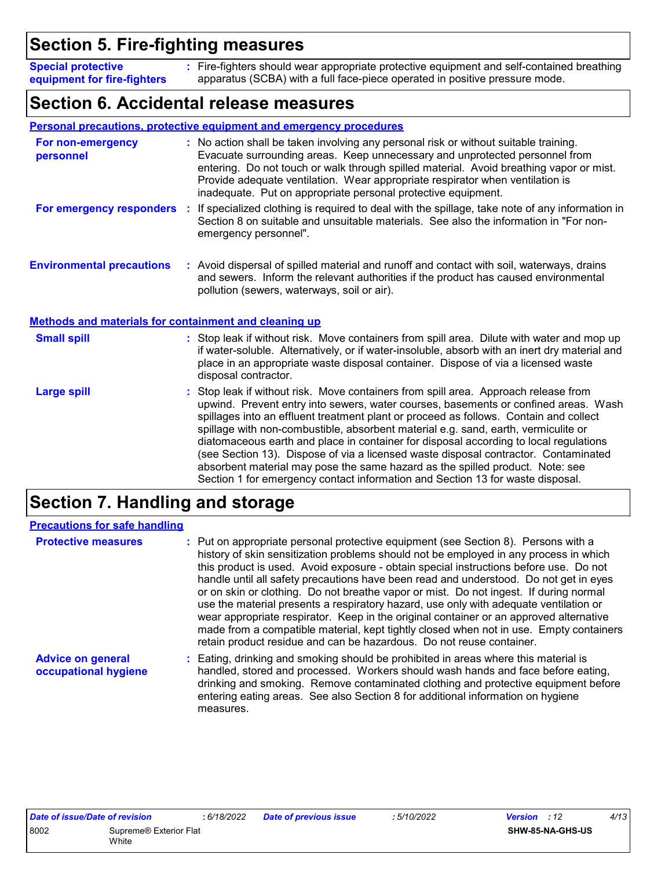## **Section 5. Fire-fighting measures**

Fire-fighters should wear appropriate protective equipment and self-contained breathing **:** apparatus (SCBA) with a full face-piece operated in positive pressure mode. **Special protective equipment for fire-fighters**

## **Section 6. Accidental release measures**

|                                                              |    | <b>Personal precautions, protective equipment and emergency procedures</b>                                                                                                                                                                                                                                                                                                                                              |
|--------------------------------------------------------------|----|-------------------------------------------------------------------------------------------------------------------------------------------------------------------------------------------------------------------------------------------------------------------------------------------------------------------------------------------------------------------------------------------------------------------------|
| For non-emergency<br>personnel                               |    | : No action shall be taken involving any personal risk or without suitable training.<br>Evacuate surrounding areas. Keep unnecessary and unprotected personnel from<br>entering. Do not touch or walk through spilled material. Avoid breathing vapor or mist.<br>Provide adequate ventilation. Wear appropriate respirator when ventilation is<br>inadequate. Put on appropriate personal protective equipment.        |
| For emergency responders                                     | ÷. | If specialized clothing is required to deal with the spillage, take note of any information in<br>Section 8 on suitable and unsuitable materials. See also the information in "For non-<br>emergency personnel".                                                                                                                                                                                                        |
| <b>Environmental precautions</b>                             |    | : Avoid dispersal of spilled material and runoff and contact with soil, waterways, drains<br>and sewers. Inform the relevant authorities if the product has caused environmental<br>pollution (sewers, waterways, soil or air).                                                                                                                                                                                         |
| <b>Methods and materials for containment and cleaning up</b> |    |                                                                                                                                                                                                                                                                                                                                                                                                                         |
| <b>Small spill</b>                                           |    | : Stop leak if without risk. Move containers from spill area. Dilute with water and mop up<br>if water-soluble. Alternatively, or if water-insoluble, absorb with an inert dry material and<br>place in an appropriate waste disposal container. Dispose of via a licensed waste<br>disposal contractor.                                                                                                                |
| <b>Large spill</b>                                           |    | : Stop leak if without risk. Move containers from spill area. Approach release from<br>upwind. Prevent entry into sewers, water courses, basements or confined areas. Wash<br>The contribution of $\epsilon$ . The contribution of the contribution of the contribution of $\epsilon$ , and the contribution of the contribution of the contribution of the contribution of the contribution of the contribution of the |

spillages into an effluent treatment plant or proceed as follows. Contain and collect spillage with non-combustible, absorbent material e.g. sand, earth, vermiculite or diatomaceous earth and place in container for disposal according to local regulations (see Section 13). Dispose of via a licensed waste disposal contractor. Contaminated absorbent material may pose the same hazard as the spilled product. Note: see Section 1 for emergency contact information and Section 13 for waste disposal.

## **Section 7. Handling and storage**

| <b>Precautions for safe handling</b>             |                                                                                                                                                                                                                                                                                                                                                                                                                                                                                                                                                                                                                                                                                                                                                                                                             |
|--------------------------------------------------|-------------------------------------------------------------------------------------------------------------------------------------------------------------------------------------------------------------------------------------------------------------------------------------------------------------------------------------------------------------------------------------------------------------------------------------------------------------------------------------------------------------------------------------------------------------------------------------------------------------------------------------------------------------------------------------------------------------------------------------------------------------------------------------------------------------|
| <b>Protective measures</b>                       | : Put on appropriate personal protective equipment (see Section 8). Persons with a<br>history of skin sensitization problems should not be employed in any process in which<br>this product is used. Avoid exposure - obtain special instructions before use. Do not<br>handle until all safety precautions have been read and understood. Do not get in eyes<br>or on skin or clothing. Do not breathe vapor or mist. Do not ingest. If during normal<br>use the material presents a respiratory hazard, use only with adequate ventilation or<br>wear appropriate respirator. Keep in the original container or an approved alternative<br>made from a compatible material, kept tightly closed when not in use. Empty containers<br>retain product residue and can be hazardous. Do not reuse container. |
| <b>Advice on general</b><br>occupational hygiene | : Eating, drinking and smoking should be prohibited in areas where this material is<br>handled, stored and processed. Workers should wash hands and face before eating,<br>drinking and smoking. Remove contaminated clothing and protective equipment before<br>entering eating areas. See also Section 8 for additional information on hygiene<br>measures.                                                                                                                                                                                                                                                                                                                                                                                                                                               |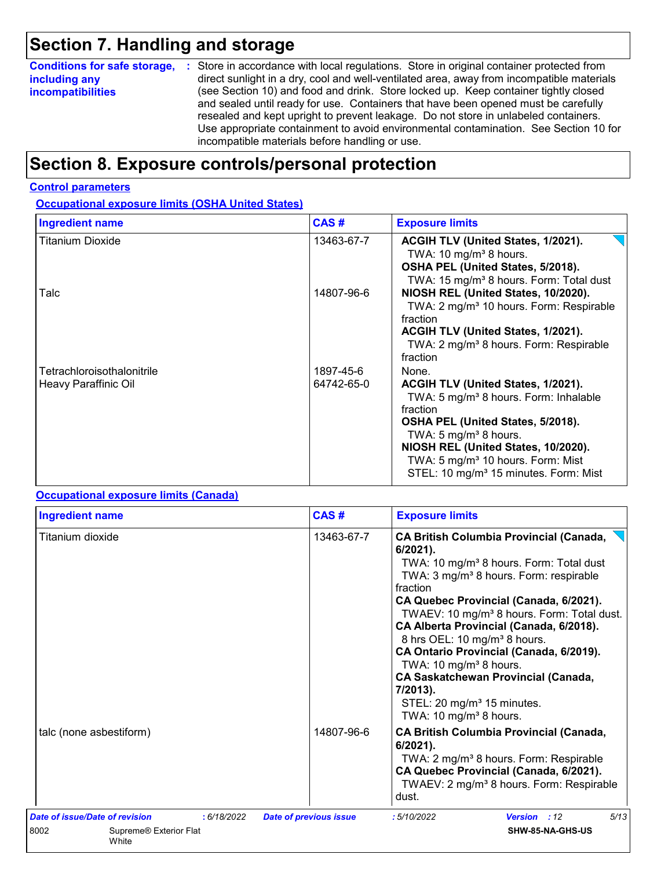## **Section 7. Handling and storage**

| <b>Conditions for safe storage,</b> | : Store in accordance with local regulations. Store in original container protected from                                                                                                                                                                                                                                                                                                                   |
|-------------------------------------|------------------------------------------------------------------------------------------------------------------------------------------------------------------------------------------------------------------------------------------------------------------------------------------------------------------------------------------------------------------------------------------------------------|
| including any                       | direct sunlight in a dry, cool and well-ventilated area, away from incompatible materials                                                                                                                                                                                                                                                                                                                  |
| <b>incompatibilities</b>            | (see Section 10) and food and drink. Store locked up. Keep container tightly closed<br>and sealed until ready for use. Containers that have been opened must be carefully<br>resealed and kept upright to prevent leakage. Do not store in unlabeled containers.<br>Use appropriate containment to avoid environmental contamination. See Section 10 for<br>incompatible materials before handling or use. |

## **Section 8. Exposure controls/personal protection**

#### **Control parameters**

### **Occupational exposure limits (OSHA United States)**

| <b>Ingredient name</b>                             | CAS#                    | <b>Exposure limits</b>                                                                                                                                                                                                                                                                                                    |
|----------------------------------------------------|-------------------------|---------------------------------------------------------------------------------------------------------------------------------------------------------------------------------------------------------------------------------------------------------------------------------------------------------------------------|
| Titanium Dioxide                                   | 13463-67-7              | ACGIH TLV (United States, 1/2021).<br>TWA: 10 mg/m <sup>3</sup> 8 hours.<br>OSHA PEL (United States, 5/2018).<br>TWA: 15 mg/m <sup>3</sup> 8 hours. Form: Total dust                                                                                                                                                      |
| Talc                                               | 14807-96-6              | NIOSH REL (United States, 10/2020).<br>TWA: 2 mg/m <sup>3</sup> 10 hours. Form: Respirable<br>fraction<br>ACGIH TLV (United States, 1/2021).<br>TWA: 2 mg/m <sup>3</sup> 8 hours. Form: Respirable<br>fraction                                                                                                            |
| Tetrachloroisothalonitrile<br>Heavy Paraffinic Oil | 1897-45-6<br>64742-65-0 | None.<br>ACGIH TLV (United States, 1/2021).<br>TWA: 5 mg/m <sup>3</sup> 8 hours. Form: Inhalable<br>fraction<br>OSHA PEL (United States, 5/2018).<br>TWA: 5 $mg/m3$ 8 hours.<br>NIOSH REL (United States, 10/2020).<br>TWA: 5 mg/m <sup>3</sup> 10 hours. Form: Mist<br>STEL: 10 mg/m <sup>3</sup> 15 minutes. Form: Mist |

#### **Occupational exposure limits (Canada)**

| <b>Ingredient name</b>                  |             | CAS#                          | <b>Exposure limits</b>                                                                                                                                                                                                                                                                                                                                                                                                                                                                                                                                                                                       |  |  |  |
|-----------------------------------------|-------------|-------------------------------|--------------------------------------------------------------------------------------------------------------------------------------------------------------------------------------------------------------------------------------------------------------------------------------------------------------------------------------------------------------------------------------------------------------------------------------------------------------------------------------------------------------------------------------------------------------------------------------------------------------|--|--|--|
| Titanium dioxide                        |             | 13463-67-7                    | <b>CA British Columbia Provincial (Canada,</b><br>$6/2021$ ).<br>TWA: 10 mg/m <sup>3</sup> 8 hours. Form: Total dust<br>TWA: 3 mg/m <sup>3</sup> 8 hours. Form: respirable<br>fraction<br>CA Quebec Provincial (Canada, 6/2021).<br>TWAEV: 10 mg/m <sup>3</sup> 8 hours. Form: Total dust.<br>CA Alberta Provincial (Canada, 6/2018).<br>8 hrs OEL: 10 mg/m <sup>3</sup> 8 hours.<br>CA Ontario Provincial (Canada, 6/2019).<br>TWA: 10 mg/m <sup>3</sup> 8 hours.<br><b>CA Saskatchewan Provincial (Canada,</b><br>7/2013).<br>STEL: 20 mg/m <sup>3</sup> 15 minutes.<br>TWA: 10 mg/m <sup>3</sup> 8 hours. |  |  |  |
| talc (none asbestiform)                 |             | 14807-96-6                    | <b>CA British Columbia Provincial (Canada,</b><br>$6/2021$ ).<br>TWA: 2 mg/m <sup>3</sup> 8 hours. Form: Respirable<br>CA Quebec Provincial (Canada, 6/2021).<br>TWAEV: 2 mg/m <sup>3</sup> 8 hours. Form: Respirable<br>dust.                                                                                                                                                                                                                                                                                                                                                                               |  |  |  |
| Date of issue/Date of revision          | : 6/18/2022 | <b>Date of previous issue</b> | 5/13<br>:5/10/2022<br>Version : 12                                                                                                                                                                                                                                                                                                                                                                                                                                                                                                                                                                           |  |  |  |
| 8002<br>Supreme® Exterior Flat<br>White |             |                               | SHW-85-NA-GHS-US                                                                                                                                                                                                                                                                                                                                                                                                                                                                                                                                                                                             |  |  |  |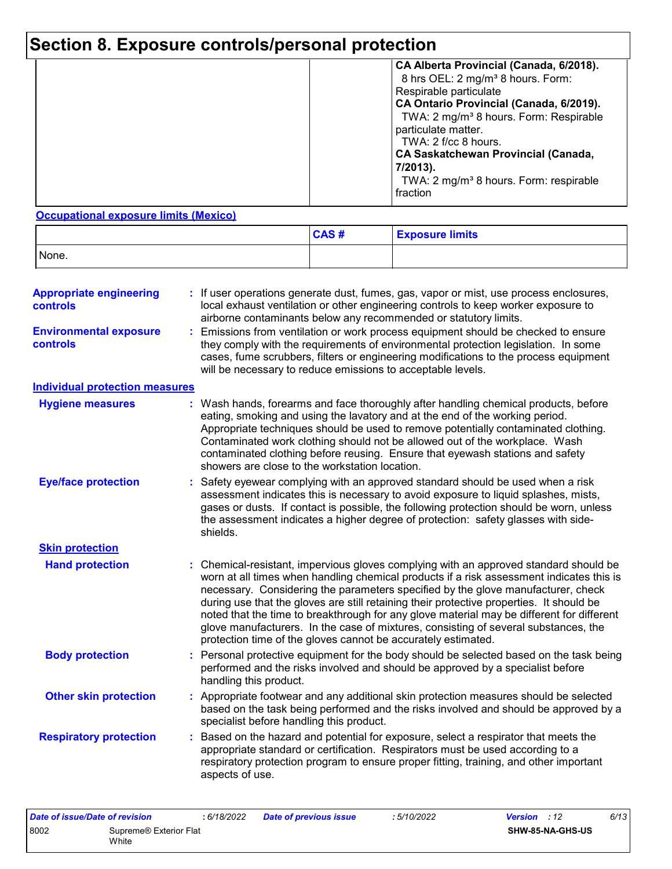## **Section 8. Exposure controls/personal protection**

|  | CA Alberta Provincial (Canada, 6/2018).<br>8 hrs OEL: 2 mg/m <sup>3</sup> 8 hours. Form:<br>Respirable particulate<br>CA Ontario Provincial (Canada, 6/2019).<br>TWA: 2 mg/m <sup>3</sup> 8 hours. Form: Respirable<br>particulate matter.<br>TWA: $2$ f/cc 8 hours.<br><b>CA Saskatchewan Provincial (Canada,</b><br>7/2013).<br>TWA: 2 mg/m <sup>3</sup> 8 hours. Form: respirable<br>fraction |
|--|--------------------------------------------------------------------------------------------------------------------------------------------------------------------------------------------------------------------------------------------------------------------------------------------------------------------------------------------------------------------------------------------------|
|--|--------------------------------------------------------------------------------------------------------------------------------------------------------------------------------------------------------------------------------------------------------------------------------------------------------------------------------------------------------------------------------------------------|

#### **Occupational exposure limits (Mexico)**

|       | CAS# | <b>Exposure limits</b> |
|-------|------|------------------------|
| None. |      |                        |

| <b>Appropriate engineering</b><br><b>controls</b> | If user operations generate dust, fumes, gas, vapor or mist, use process enclosures,<br>local exhaust ventilation or other engineering controls to keep worker exposure to<br>airborne contaminants below any recommended or statutory limits.                                                                                                                                                                                                                                                                                                                                                                         |  |  |  |  |
|---------------------------------------------------|------------------------------------------------------------------------------------------------------------------------------------------------------------------------------------------------------------------------------------------------------------------------------------------------------------------------------------------------------------------------------------------------------------------------------------------------------------------------------------------------------------------------------------------------------------------------------------------------------------------------|--|--|--|--|
| <b>Environmental exposure</b><br>controls         | Emissions from ventilation or work process equipment should be checked to ensure<br>÷.<br>they comply with the requirements of environmental protection legislation. In some<br>cases, fume scrubbers, filters or engineering modifications to the process equipment<br>will be necessary to reduce emissions to acceptable levels.                                                                                                                                                                                                                                                                                    |  |  |  |  |
| <b>Individual protection measures</b>             |                                                                                                                                                                                                                                                                                                                                                                                                                                                                                                                                                                                                                        |  |  |  |  |
| <b>Hygiene measures</b>                           | Wash hands, forearms and face thoroughly after handling chemical products, before<br>eating, smoking and using the lavatory and at the end of the working period.<br>Appropriate techniques should be used to remove potentially contaminated clothing.<br>Contaminated work clothing should not be allowed out of the workplace. Wash<br>contaminated clothing before reusing. Ensure that eyewash stations and safety<br>showers are close to the workstation location.                                                                                                                                              |  |  |  |  |
| <b>Eye/face protection</b>                        | Safety eyewear complying with an approved standard should be used when a risk<br>assessment indicates this is necessary to avoid exposure to liquid splashes, mists,<br>gases or dusts. If contact is possible, the following protection should be worn, unless<br>the assessment indicates a higher degree of protection: safety glasses with side-<br>shields.                                                                                                                                                                                                                                                       |  |  |  |  |
| <b>Skin protection</b>                            |                                                                                                                                                                                                                                                                                                                                                                                                                                                                                                                                                                                                                        |  |  |  |  |
| <b>Hand protection</b>                            | : Chemical-resistant, impervious gloves complying with an approved standard should be<br>worn at all times when handling chemical products if a risk assessment indicates this is<br>necessary. Considering the parameters specified by the glove manufacturer, check<br>during use that the gloves are still retaining their protective properties. It should be<br>noted that the time to breakthrough for any glove material may be different for different<br>glove manufacturers. In the case of mixtures, consisting of several substances, the<br>protection time of the gloves cannot be accurately estimated. |  |  |  |  |
| <b>Body protection</b>                            | Personal protective equipment for the body should be selected based on the task being<br>performed and the risks involved and should be approved by a specialist before<br>handling this product.                                                                                                                                                                                                                                                                                                                                                                                                                      |  |  |  |  |
| <b>Other skin protection</b>                      | Appropriate footwear and any additional skin protection measures should be selected<br>based on the task being performed and the risks involved and should be approved by a<br>specialist before handling this product.                                                                                                                                                                                                                                                                                                                                                                                                |  |  |  |  |
| <b>Respiratory protection</b>                     | Based on the hazard and potential for exposure, select a respirator that meets the<br>appropriate standard or certification. Respirators must be used according to a<br>respiratory protection program to ensure proper fitting, training, and other important<br>aspects of use.                                                                                                                                                                                                                                                                                                                                      |  |  |  |  |

| Date of issue/Date of revision |                        | : 6/18/2022 | <b>Date of previous issue</b> | : 5/10/2022 | <b>Version</b> : 12 |                  | 6/13 |
|--------------------------------|------------------------|-------------|-------------------------------|-------------|---------------------|------------------|------|
| 8002                           | Supreme® Exterior Flat |             |                               |             |                     | SHW-85-NA-GHS-US |      |
|                                | White                  |             |                               |             |                     |                  |      |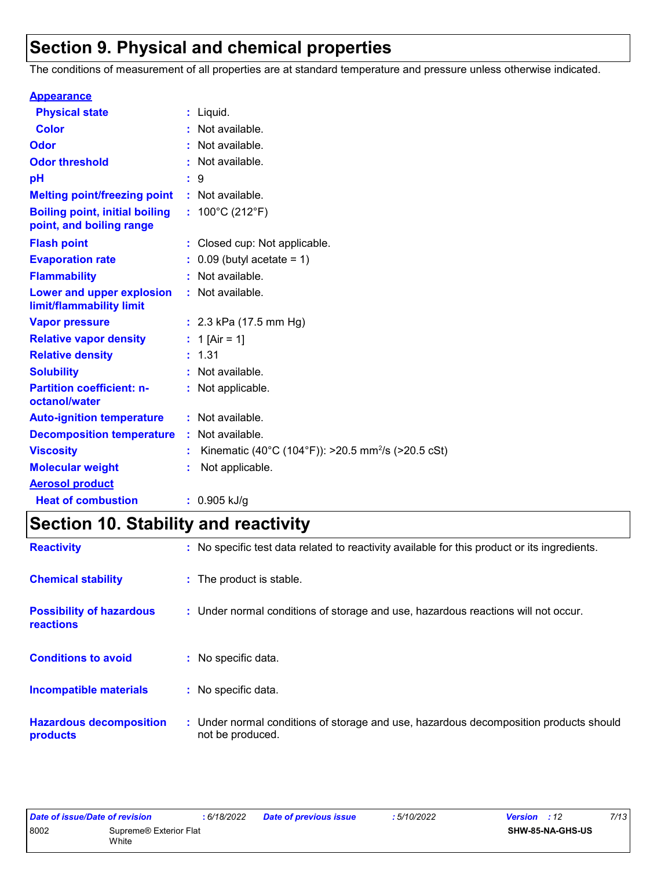## **Section 9. Physical and chemical properties**

The conditions of measurement of all properties are at standard temperature and pressure unless otherwise indicated.

| <b>Appearance</b>                                                 |    |                                                                |
|-------------------------------------------------------------------|----|----------------------------------------------------------------|
| <b>Physical state</b>                                             |    | $:$ Liquid.                                                    |
| <b>Color</b>                                                      |    | : Not available.                                               |
| Odor                                                              |    | : Not available.                                               |
| <b>Odor threshold</b>                                             |    | : Not available.                                               |
| рH                                                                |    | : 9                                                            |
| <b>Melting point/freezing point</b>                               |    | : Not available.                                               |
| <b>Boiling point, initial boiling</b><br>point, and boiling range |    | : $100^{\circ}$ C (212 $^{\circ}$ F)                           |
| <b>Flash point</b>                                                |    | : Closed cup: Not applicable.                                  |
| <b>Evaporation rate</b>                                           |    | $0.09$ (butyl acetate = 1)                                     |
| <b>Flammability</b>                                               |    | : Not available.                                               |
| Lower and upper explosion<br>limit/flammability limit             |    | : Not available.                                               |
| <b>Vapor pressure</b>                                             |    | : $2.3$ kPa (17.5 mm Hg)                                       |
| <b>Relative vapor density</b>                                     |    | : 1 [Air = 1]                                                  |
| <b>Relative density</b>                                           |    | : 1.31                                                         |
| <b>Solubility</b>                                                 |    | : Not available.                                               |
| <b>Partition coefficient: n-</b><br>octanol/water                 |    | : Not applicable.                                              |
| <b>Auto-ignition temperature</b>                                  |    | : Not available.                                               |
| <b>Decomposition temperature</b>                                  |    | : Not available.                                               |
| <b>Viscosity</b>                                                  | t. | Kinematic (40°C (104°F)): >20.5 mm <sup>2</sup> /s (>20.5 cSt) |
| <b>Molecular weight</b>                                           |    | Not applicable.                                                |
| <b>Aerosol product</b>                                            |    |                                                                |
| <b>Heat of combustion</b>                                         |    | $: 0.905$ kJ/g                                                 |

## **Section 10. Stability and reactivity**

| <b>Reactivity</b>                            | : No specific test data related to reactivity available for this product or its ingredients.              |
|----------------------------------------------|-----------------------------------------------------------------------------------------------------------|
| <b>Chemical stability</b>                    | : The product is stable.                                                                                  |
| <b>Possibility of hazardous</b><br>reactions | : Under normal conditions of storage and use, hazardous reactions will not occur.                         |
| <b>Conditions to avoid</b>                   | : No specific data.                                                                                       |
| <b>Incompatible materials</b>                | : No specific data.                                                                                       |
| <b>Hazardous decomposition</b><br>products   | : Under normal conditions of storage and use, hazardous decomposition products should<br>not be produced. |

| Date of issue/Date of revision |                        | 6/18/2022 | <b>Date of previous issue</b> | 5/10/2022 | <b>Version</b> : 12 |                  | 7/13 |
|--------------------------------|------------------------|-----------|-------------------------------|-----------|---------------------|------------------|------|
| 8002                           | Supreme® Exterior Flat |           |                               |           |                     | SHW-85-NA-GHS-US |      |
|                                | White                  |           |                               |           |                     |                  |      |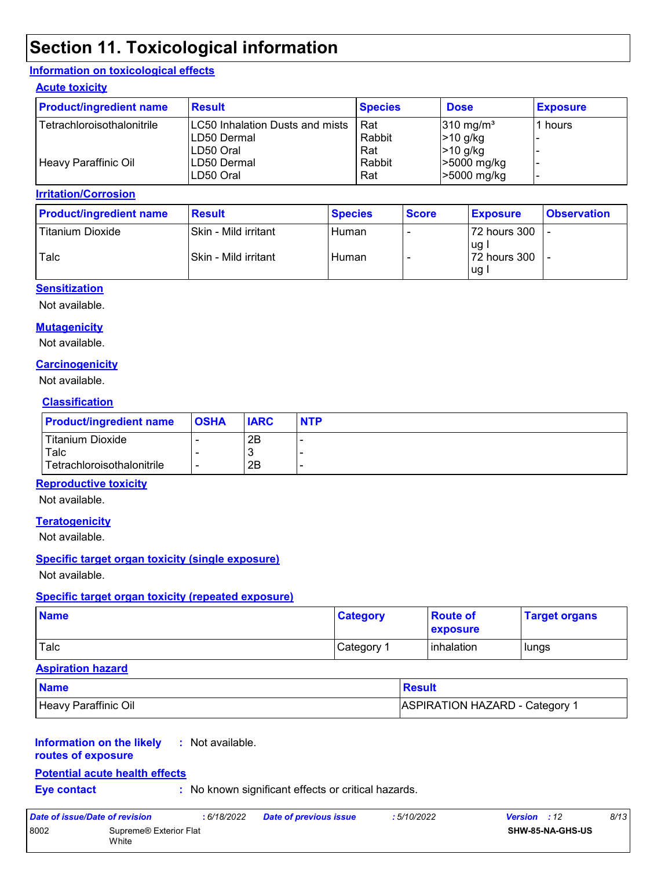## **Section 11. Toxicological information**

#### **Information on toxicological effects**

#### **Acute toxicity**

| <b>Product/ingredient name</b> | <b>Result</b>                     | <b>Species</b> | <b>Dose</b>          | <b>Exposure</b> |
|--------------------------------|-----------------------------------|----------------|----------------------|-----------------|
| Tetrachloroisothalonitrile     | ILC50 Inhalation Dusts and mists_ | Rat            | $310 \text{ mg/m}^3$ | 1 hours         |
|                                | LD50 Dermal                       | Rabbit         | $>10$ g/kg           |                 |
|                                | LD50 Oral                         | Rat            | $>10$ g/kg           |                 |
| <b>Heavy Paraffinic Oil</b>    | LD50 Dermal                       | Rabbit         | >5000 mg/kg          |                 |
|                                | LD50 Oral                         | Rat            | >5000 mg/kg          |                 |

#### **Irritation/Corrosion**

| <b>Product/ingredient name</b> | <b>Result</b>        | <b>Species</b> | <b>Score</b> | <b>Exposure</b>    | <b>Observation</b> |
|--------------------------------|----------------------|----------------|--------------|--------------------|--------------------|
| Titanium Dioxide               | Skin - Mild irritant | Human          |              | 72 hours 300       |                    |
| Talc                           | Skin - Mild irritant | Human          |              | uq<br>72 hours 300 |                    |
|                                |                      |                |              | ug i               |                    |

#### **Sensitization**

Not available.

#### **Mutagenicity**

Not available.

#### **Carcinogenicity**

Not available.

#### **Classification**

| <b>Product/ingredient name</b> | <b>OSHA</b> | <b>IARC</b> | <b>NTP</b> |
|--------------------------------|-------------|-------------|------------|
| Titanium Dioxide               |             | 2B          |            |
| Talc                           |             | . ვ         |            |
| Tetrachloroisothalonitrile     |             | 2B          |            |

#### **Reproductive toxicity**

Not available.

#### **Teratogenicity**

Not available.

#### **Specific target organ toxicity (single exposure)**

Not available.

#### **Specific target organ toxicity (repeated exposure)**

| <b>Name</b> | <b>Category</b>       | <b>Route of</b><br><b>exposure</b> | <b>Target organs</b> |
|-------------|-----------------------|------------------------------------|----------------------|
| Talc        | Category <sup>1</sup> | inhalation                         | lungs                |

#### **Aspiration hazard**

| <b>Name</b>          | <u>l Result</u>                       |
|----------------------|---------------------------------------|
| Heavy Paraffinic Oil | <b>ASPIRATION HAZARD - Category 1</b> |

#### **Information on the likely :** Not available.

**routes of exposure**

#### **Potential acute health effects**

**Eye contact :** No known significant effects or critical hazards.

| Date of issue/Date of revision |                                 | : 6/18/2022 | Date of previous issue | : 5/10/2022 | <b>Version</b> : 12 |                         | 8/13 |
|--------------------------------|---------------------------------|-------------|------------------------|-------------|---------------------|-------------------------|------|
| 8002                           | Supreme® Exterior Flat<br>White |             |                        |             |                     | <b>SHW-85-NA-GHS-US</b> |      |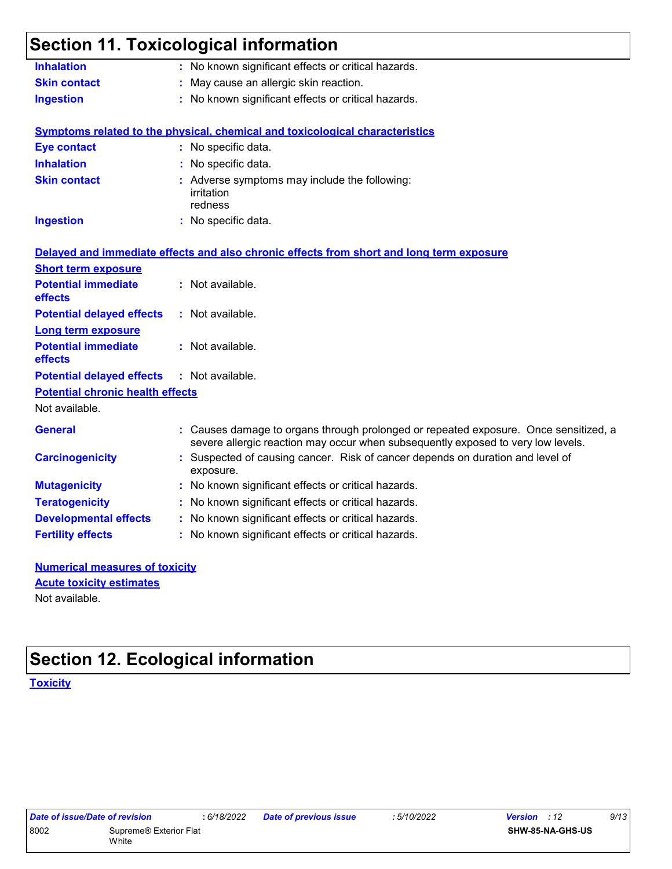| <b>Inhalation</b>                       | : No known significant effects or critical hazards.                                                                                                                      |
|-----------------------------------------|--------------------------------------------------------------------------------------------------------------------------------------------------------------------------|
| <b>Skin contact</b>                     | May cause an allergic skin reaction.                                                                                                                                     |
| <b>Ingestion</b>                        | : No known significant effects or critical hazards.                                                                                                                      |
|                                         | <b>Symptoms related to the physical, chemical and toxicological characteristics</b>                                                                                      |
| <b>Eye contact</b>                      | : No specific data.                                                                                                                                                      |
| <b>Inhalation</b>                       | : No specific data.                                                                                                                                                      |
| <b>Skin contact</b>                     | : Adverse symptoms may include the following:<br>irritation<br>redness                                                                                                   |
| <b>Ingestion</b>                        | : No specific data.                                                                                                                                                      |
|                                         | Delayed and immediate effects and also chronic effects from short and long term exposure                                                                                 |
| <b>Short term exposure</b>              |                                                                                                                                                                          |
| <b>Potential immediate</b><br>effects   | : Not available.                                                                                                                                                         |
| <b>Potential delayed effects</b>        | : Not available.                                                                                                                                                         |
| <b>Long term exposure</b>               |                                                                                                                                                                          |
| <b>Potential immediate</b><br>effects   | : Not available.                                                                                                                                                         |
| <b>Potential delayed effects</b>        | : Not available.                                                                                                                                                         |
| <b>Potential chronic health effects</b> |                                                                                                                                                                          |
| Not available.                          |                                                                                                                                                                          |
| <b>General</b>                          | : Causes damage to organs through prolonged or repeated exposure. Once sensitized, a<br>severe allergic reaction may occur when subsequently exposed to very low levels. |
| <b>Carcinogenicity</b>                  | Suspected of causing cancer. Risk of cancer depends on duration and level of<br>exposure.                                                                                |
| <b>Mutagenicity</b>                     | : No known significant effects or critical hazards.                                                                                                                      |
|                                         | No known significant effects or critical hazards.                                                                                                                        |
| <b>Teratogenicity</b>                   |                                                                                                                                                                          |
| <b>Developmental effects</b>            | : No known significant effects or critical hazards.                                                                                                                      |

#### **Numerical measures of toxicity** Not available. **Acute toxicity estimates**

## **Section 12. Ecological information**

**Toxicity**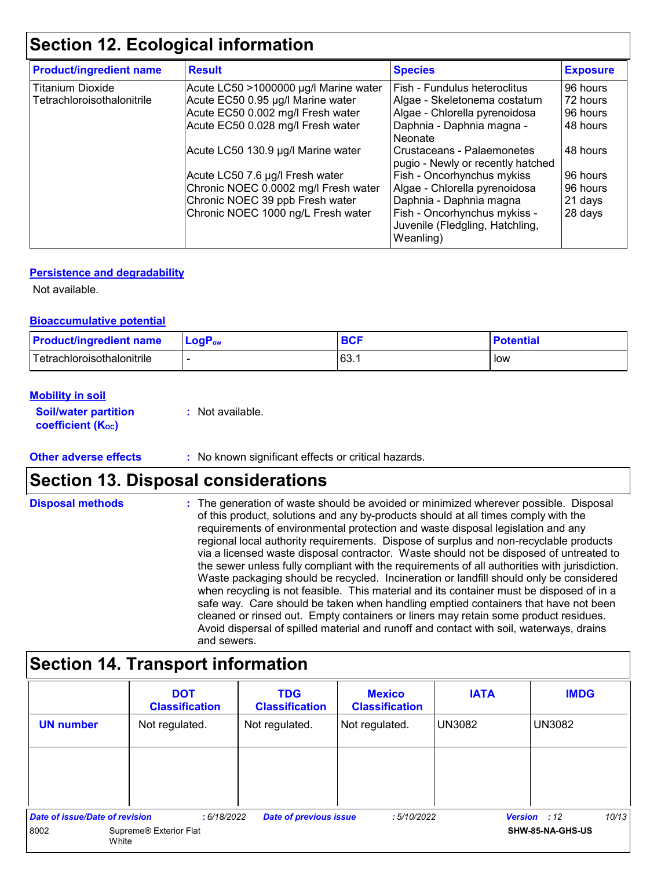## **Section 12. Ecological information**

| <b>Product/ingredient name</b> | <b>Result</b>                         | <b>Species</b>                                                               | <b>Exposure</b> |
|--------------------------------|---------------------------------------|------------------------------------------------------------------------------|-----------------|
| <b>Titanium Dioxide</b>        | Acute LC50 >1000000 µg/l Marine water | Fish - Fundulus heteroclitus                                                 | 96 hours        |
| Tetrachloroisothalonitrile     | Acute EC50 0.95 µg/l Marine water     | Algae - Skeletonema costatum                                                 | 72 hours        |
|                                | Acute EC50 0.002 mg/l Fresh water     | Algae - Chlorella pyrenoidosa                                                | 96 hours        |
|                                | Acute EC50 0.028 mg/l Fresh water     | Daphnia - Daphnia magna -<br>Neonate                                         | 48 hours        |
|                                | Acute LC50 130.9 µg/l Marine water    | Crustaceans - Palaemonetes<br>pugio - Newly or recently hatched              | 48 hours        |
|                                | Acute LC50 7.6 µg/l Fresh water       | Fish - Oncorhynchus mykiss                                                   | 96 hours        |
|                                | Chronic NOEC 0.0002 mg/l Fresh water  | Algae - Chlorella pyrenoidosa                                                | 96 hours        |
|                                | Chronic NOEC 39 ppb Fresh water       | Daphnia - Daphnia magna                                                      | 21 days         |
|                                | Chronic NOEC 1000 ng/L Fresh water    | Fish - Oncorhynchus mykiss -<br>Juvenile (Fledgling, Hatchling,<br>Weanling) | 28 days         |

#### **Persistence and degradability**

Not available.

#### **Bioaccumulative potential**

| <b>Product/ingredient name</b> | $LogPow$ | <b>BCF</b> | <b>Potential</b> |
|--------------------------------|----------|------------|------------------|
| l Tetrachloroisothalonitrile   |          | 63.7       | low              |

#### **Mobility in soil**

**Soil/water partition coefficient (Koc)** 

**:** Not available.

**Other adverse effects** : No known significant effects or critical hazards.

## **Section 13. Disposal considerations**

The generation of waste should be avoided or minimized wherever possible. Disposal of this product, solutions and any by-products should at all times comply with the requirements of environmental protection and waste disposal legislation and any regional local authority requirements. Dispose of surplus and non-recyclable products via a licensed waste disposal contractor. Waste should not be disposed of untreated to the sewer unless fully compliant with the requirements of all authorities with jurisdiction. Waste packaging should be recycled. Incineration or landfill should only be considered when recycling is not feasible. This material and its container must be disposed of in a safe way. Care should be taken when handling emptied containers that have not been cleaned or rinsed out. Empty containers or liners may retain some product residues. Avoid dispersal of spilled material and runoff and contact with soil, waterways, drains and sewers. **Disposal methods :**

## **Section 14. Transport information**

|                                       | <b>DOT</b><br><b>Classification</b> | <b>TDG</b><br><b>Classification</b> | <b>Mexico</b><br><b>Classification</b> | <b>IATA</b>   | <b>IMDG</b>                  |
|---------------------------------------|-------------------------------------|-------------------------------------|----------------------------------------|---------------|------------------------------|
| <b>UN number</b>                      | Not regulated.                      | Not regulated.                      | Not regulated.                         | <b>UN3082</b> | UN3082                       |
|                                       |                                     |                                     |                                        |               |                              |
|                                       |                                     |                                     |                                        |               |                              |
| <b>Date of issue/Date of revision</b> | :6/18/2022                          | <b>Date of previous issue</b>       | :5/10/2022                             |               | 10/13<br><b>Version</b> : 12 |
| 8002                                  | Supreme® Exterior Flat<br>White     |                                     |                                        |               | SHW-85-NA-GHS-US             |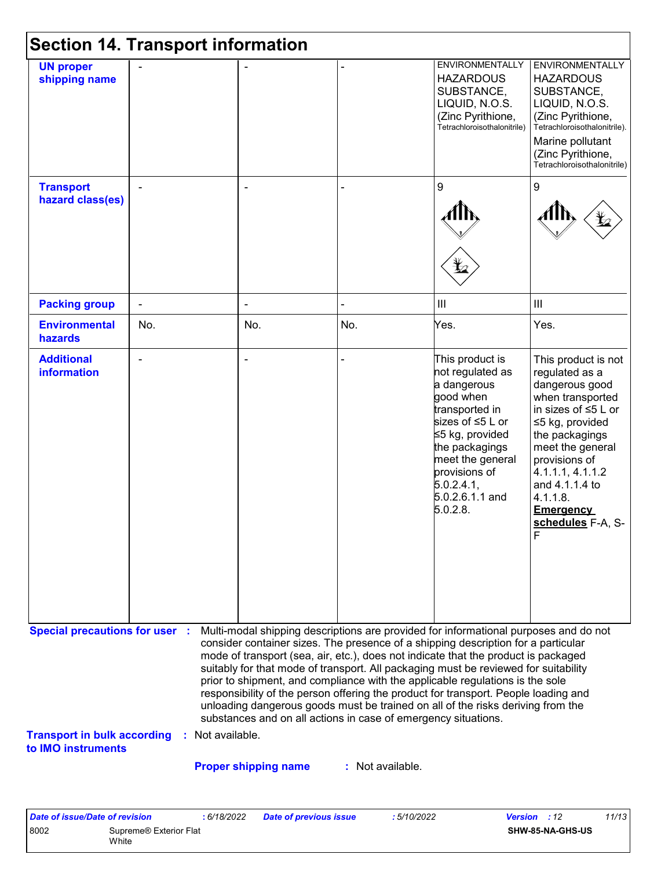|                                                                                                   | <b>Section 14. Transport information</b> |                                                                                                                                                                                                                                                                                                                                                                                                                                                                                                                                                                                                                                                                                                                    |                  |                                                                                                                                                                                                                              |                                                                                                                                                                                                                                                                              |
|---------------------------------------------------------------------------------------------------|------------------------------------------|--------------------------------------------------------------------------------------------------------------------------------------------------------------------------------------------------------------------------------------------------------------------------------------------------------------------------------------------------------------------------------------------------------------------------------------------------------------------------------------------------------------------------------------------------------------------------------------------------------------------------------------------------------------------------------------------------------------------|------------------|------------------------------------------------------------------------------------------------------------------------------------------------------------------------------------------------------------------------------|------------------------------------------------------------------------------------------------------------------------------------------------------------------------------------------------------------------------------------------------------------------------------|
| <b>UN proper</b><br>shipping name                                                                 |                                          |                                                                                                                                                                                                                                                                                                                                                                                                                                                                                                                                                                                                                                                                                                                    |                  | ENVIRONMENTALLY<br><b>HAZARDOUS</b><br>SUBSTANCE,<br>LIQUID, N.O.S.<br>(Zinc Pyrithione,<br>Tetrachloroisothalonitrile)                                                                                                      | <b>ENVIRONMENTALLY</b><br><b>HAZARDOUS</b><br>SUBSTANCE,<br>LIQUID, N.O.S.<br>(Zinc Pyrithione,<br>Tetrachloroisothalonitrile).<br>Marine pollutant<br>(Zinc Pyrithione,<br>Tetrachloroisothalonitrile)                                                                      |
| <b>Transport</b><br>hazard class(es)                                                              |                                          |                                                                                                                                                                                                                                                                                                                                                                                                                                                                                                                                                                                                                                                                                                                    |                  | 9<br>Ļ,                                                                                                                                                                                                                      | 9                                                                                                                                                                                                                                                                            |
| <b>Packing group</b>                                                                              |                                          | ÷,                                                                                                                                                                                                                                                                                                                                                                                                                                                                                                                                                                                                                                                                                                                 |                  | $\  \ $                                                                                                                                                                                                                      | III                                                                                                                                                                                                                                                                          |
| <b>Environmental</b><br>hazards                                                                   | No.                                      | No.                                                                                                                                                                                                                                                                                                                                                                                                                                                                                                                                                                                                                                                                                                                | No.              | Yes.                                                                                                                                                                                                                         | Yes.                                                                                                                                                                                                                                                                         |
| <b>Additional</b><br><b>information</b>                                                           |                                          |                                                                                                                                                                                                                                                                                                                                                                                                                                                                                                                                                                                                                                                                                                                    |                  | This product is<br>not regulated as<br>a dangerous<br>good when<br>transported in<br>sizes of ≤5 L or<br>≤5 kg, provided<br>the packagings<br>meet the general<br>provisions of<br>5.0.2.4.1,<br>5.0.2.6.1.1 and<br>5.0.2.8. | This product is not<br>regulated as a<br>dangerous good<br>when transported<br>in sizes of ≤5 L or<br>≤5 kg, provided<br>the packagings<br>meet the general<br>provisions of<br>4.1.1.1, 4.1.1.2<br>and 4.1.1.4 to<br>4.1.1.8.<br><b>Emergency</b><br>schedules F-A, S-<br>F |
| <b>Special precautions for user :</b><br><b>Transport in bulk according</b><br>to IMO instruments | : Not available.                         | Multi-modal shipping descriptions are provided for informational purposes and do not<br>consider container sizes. The presence of a shipping description for a particular<br>mode of transport (sea, air, etc.), does not indicate that the product is packaged<br>suitably for that mode of transport. All packaging must be reviewed for suitability<br>prior to shipment, and compliance with the applicable regulations is the sole<br>responsibility of the person offering the product for transport. People loading and<br>unloading dangerous goods must be trained on all of the risks deriving from the<br>substances and on all actions in case of emergency situations.<br><b>Proper shipping name</b> | : Not available. |                                                                                                                                                                                                                              |                                                                                                                                                                                                                                                                              |
| <b>Date of issue/Date of revision</b>                                                             | : 6/18/2022                              | <b>Date of previous issue</b>                                                                                                                                                                                                                                                                                                                                                                                                                                                                                                                                                                                                                                                                                      | : 5/10/2022      |                                                                                                                                                                                                                              | 11/13<br>Version : 12                                                                                                                                                                                                                                                        |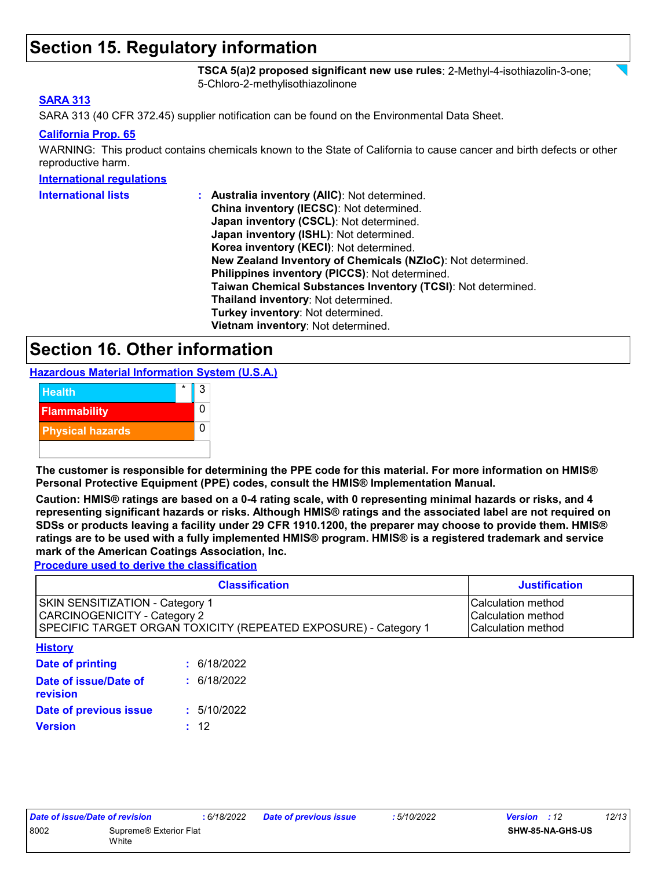## **Section 15. Regulatory information**

**TSCA 5(a)2 proposed significant new use rules**: 2-Methyl-4-isothiazolin-3-one; 5-Chloro-2-methylisothiazolinone

#### **SARA 313**

SARA 313 (40 CFR 372.45) supplier notification can be found on the Environmental Data Sheet.

#### **California Prop. 65**

WARNING: This product contains chemicals known to the State of California to cause cancer and birth defects or other reproductive harm.

#### **International regulations**

| <b>International lists</b> | : Australia inventory (AIIC): Not determined.                |
|----------------------------|--------------------------------------------------------------|
|                            | China inventory (IECSC): Not determined.                     |
|                            | Japan inventory (CSCL): Not determined.                      |
|                            | Japan inventory (ISHL): Not determined.                      |
|                            | Korea inventory (KECI): Not determined.                      |
|                            | New Zealand Inventory of Chemicals (NZIoC): Not determined.  |
|                            | Philippines inventory (PICCS): Not determined.               |
|                            | Taiwan Chemical Substances Inventory (TCSI): Not determined. |
|                            | Thailand inventory: Not determined.                          |
|                            | Turkey inventory: Not determined.                            |
|                            | Vietnam inventory: Not determined.                           |

## **Section 16. Other information**

**Hazardous Material Information System (U.S.A.)**



**The customer is responsible for determining the PPE code for this material. For more information on HMIS® Personal Protective Equipment (PPE) codes, consult the HMIS® Implementation Manual.**

**Caution: HMIS® ratings are based on a 0-4 rating scale, with 0 representing minimal hazards or risks, and 4 representing significant hazards or risks. Although HMIS® ratings and the associated label are not required on SDSs or products leaving a facility under 29 CFR 1910.1200, the preparer may choose to provide them. HMIS® ratings are to be used with a fully implemented HMIS® program. HMIS® is a registered trademark and service mark of the American Coatings Association, Inc.**

**Procedure used to derive the classification**

| <b>Classification</b>                                                                                                                     |             | <b>Justification</b>                                            |
|-------------------------------------------------------------------------------------------------------------------------------------------|-------------|-----------------------------------------------------------------|
| SKIN SENSITIZATION - Category 1<br><b>CARCINOGENICITY - Category 2</b><br>SPECIFIC TARGET ORGAN TOXICITY (REPEATED EXPOSURE) - Category 1 |             | Calculation method<br>lCalculation method<br>Calculation method |
| <b>History</b>                                                                                                                            |             |                                                                 |
| Date of printing                                                                                                                          | 6/18/2022   |                                                                 |
| Date of issue/Date of<br>revision                                                                                                         | : 6/18/2022 |                                                                 |
| Date of previous issue                                                                                                                    | : 5/10/2022 |                                                                 |
| <b>Version</b>                                                                                                                            | 12          |                                                                 |